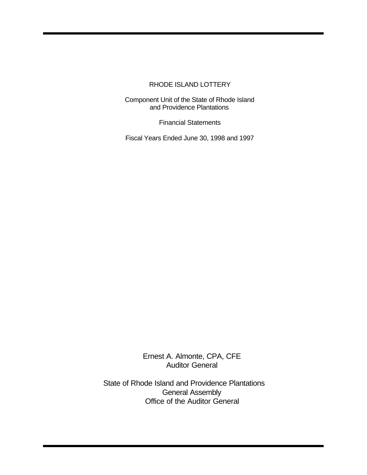Component Unit of the State of Rhode Island and Providence Plantations

Financial Statements

Fiscal Years Ended June 30, 1998 and 1997

Ernest A. Almonte, CPA, CFE Auditor General

State of Rhode Island and Providence Plantations General Assembly Office of the Auditor General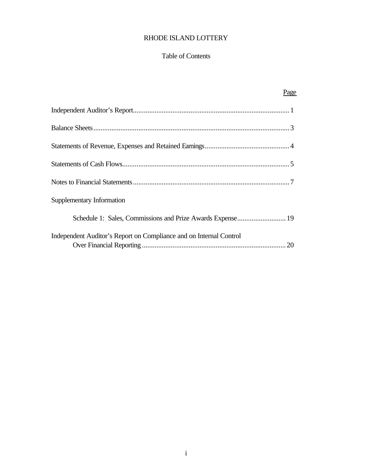#### Table of Contents

| Page                                                                     |
|--------------------------------------------------------------------------|
|                                                                          |
|                                                                          |
|                                                                          |
|                                                                          |
|                                                                          |
| Supplementary Information                                                |
| Schedule 1: Sales, Commissions and Prize Awards Expense 19               |
| Independent Auditor's Report on Compliance and on Internal Control<br>20 |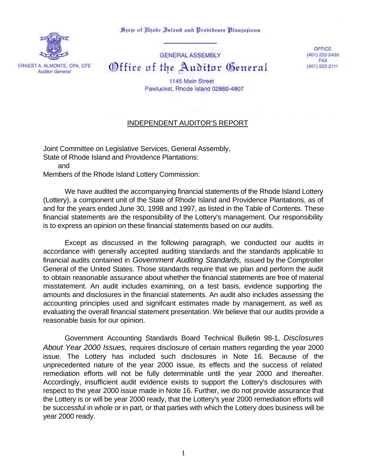State of Rhode Island and Probidence Plantations



**GENERAL ASSEMBLY** Office of the Auditor General

OFFICE (401) 222-2435 **FAX** (401) 222-2111

1145 Main Street Pawtucket, Rhode Island 02860-4807

## INDEPENDENT AUDITOR'S REPORT

Joint Committee on Legislative Services, General Assembly, State of Rhode Island and Providence Plantations: and Members of the Rhode Island Lottery Commission:

We have audited the accompanying financial statements of the Rhode Island Lottery (Lottery), a component unit of the State of Rhode Island and Providence Plantations, as of and for the years ended June 30, 1998 and 1997, as listed in the Table of Contents. These financial statements are the responsibility of the Lottery's management. Our responsibility is to express an opinion on these financial statements based on our audits.

Except as discussed in the following paragraph, we conducted our audits in accordance with generally accepted auditing standards and the standards applicable to financial audits contained in *Government Auditing Standards,* issued by the Comptroller General of the United States. Those standards require that we plan and perform the audit to obtain reasonable assurance about whether the financial statements are free of material misstatement. An audit includes examining, on a test basis, evidence supporting the amounts and disclosures in the financial statements. An audit also includes assessing the accounting principles used and signifcant estimates made by management, as well as evaluating the overall financial statement presentation. We believe that our audits provide a reasonable basis for our opinion.

Government Accounting Standards Board Technical Bulletin 98-1, *Disclosures About Year 2000 Issues,* requires disclosure of certain matters regarding the year 2000 issue. The Lottery has included such disclosures in Note 16. Because of the unprecedented nature of the year 2000 issue, its effects and the success of related remediation efforts will not be fully determinable until the year 2000 and thereafter. Accordingly, insufficient audit evidence exists to support the Lottery's disclosures with respect to the year 2000 issue made in Note 16. Further, we do not provide assurance that the Lottery is or will be year 2000 ready, that the Lottery's year 2000 remediation efforts will be successful in whole or in part, or that parties with which the Lottery does business will be year 2000 ready.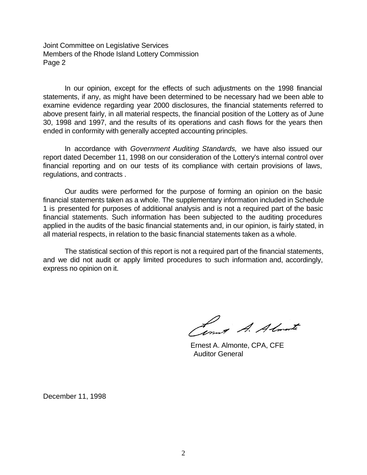Joint Committee on Legislative Services Members of the Rhode Island Lottery Commission Page 2

In our opinion, except for the effects of such adjustments on the 1998 financial statements, if any, as might have been determined to be necessary had we been able to examine evidence regarding year 2000 disclosures, the financial statements referred to above present fairly, in all material respects, the financial position of the Lottery as of June 30, 1998 and 1997, and the results of its operations and cash flows for the years then ended in conformity with generally accepted accounting principles.

In accordance with *Government Auditing Standards,* we have also issued our report dated December 11, 1998 on our consideration of the Lottery's internal control over financial reporting and on our tests of its compliance with certain provisions of laws, regulations, and contracts .

Our audits were performed for the purpose of forming an opinion on the basic financial statements taken as a whole. The supplementary information included in Schedule 1 is presented for purposes of additional analysis and is not a required part of the basic financial statements. Such information has been subjected to the auditing procedures applied in the audits of the basic financial statements and, in our opinion, is fairly stated, in all material respects, in relation to the basic financial statements taken as a whole.

The statistical section of this report is not a required part of the financial statements, and we did not audit or apply limited procedures to such information and, accordingly, express no opinion on it.

Lout A. Almonte

 Ernest A. Almonte, CPA, CFE Auditor General

December 11, 1998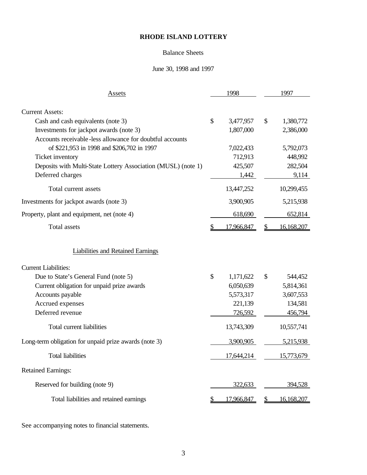### Balance Sheets

### June 30, 1998 and 1997

| Assets                                                        | 1998             |    | 1997       |
|---------------------------------------------------------------|------------------|----|------------|
|                                                               |                  |    |            |
| <b>Current Assets:</b>                                        |                  |    |            |
| Cash and cash equivalents (note 3)                            | \$<br>3,477,957  | \$ | 1,380,772  |
| Investments for jackpot awards (note 3)                       | 1,807,000        |    | 2,386,000  |
| Accounts receivable-less allowance for doubtful accounts      |                  |    |            |
| of \$221,953 in 1998 and \$206,702 in 1997                    | 7,022,433        |    | 5,792,073  |
| Ticket inventory                                              | 712,913          |    | 448,992    |
| Deposits with Multi-State Lottery Association (MUSL) (note 1) | 425,507          |    | 282,504    |
| Deferred charges                                              | 1,442            |    | 9,114      |
| Total current assets                                          | 13,447,252       |    | 10,299,455 |
| Investments for jackpot awards (note 3)                       | 3,900,905        |    | 5,215,938  |
| Property, plant and equipment, net (note 4)                   | 618,690          |    | 652,814    |
| <b>Total</b> assets                                           | 17,966,847       | S  | 16,168,207 |
| <b>Liabilities and Retained Earnings</b>                      |                  |    |            |
| <b>Current Liabilities:</b>                                   |                  |    |            |
| Due to State's General Fund (note 5)                          | \$<br>1,171,622  | \$ | 544,452    |
| Current obligation for unpaid prize awards                    | 6,050,639        |    | 5,814,361  |
| Accounts payable                                              | 5,573,317        |    | 3,607,553  |
| Accrued expenses                                              | 221,139          |    | 134,581    |
| Deferred revenue                                              | 726,592          |    | 456,794    |
| Total current liabilities                                     | 13,743,309       |    | 10,557,741 |
| Long-term obligation for unpaid prize awards (note 3)         | 3,900,905        |    | 5,215,938  |
|                                                               |                  |    |            |
| <b>Total liabilities</b>                                      | 17,644,214       |    | 15,773,679 |
| <b>Retained Earnings:</b>                                     |                  |    |            |
| Reserved for building (note 9)                                | 322,633          |    | 394,528    |
| Total liabilities and retained earnings                       | \$<br>17,966,847 |    | 16,168,207 |

See accompanying notes to financial statements.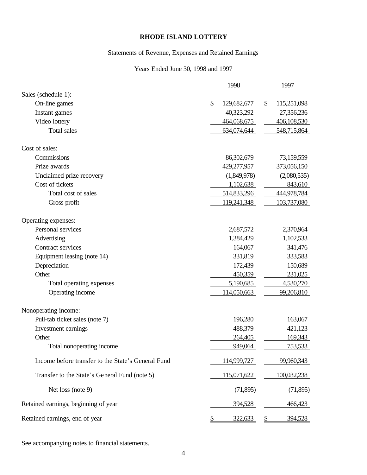## Statements of Revenue, Expenses and Retained Earnings

## Years Ended June 30, 1998 and 1997

|                                                    | 1998              |    | 1997        |
|----------------------------------------------------|-------------------|----|-------------|
| Sales (schedule 1):                                |                   |    |             |
| On-line games                                      | \$<br>129,682,677 | \$ | 115,251,098 |
| Instant games                                      | 40,323,292        |    | 27,356,236  |
| Video lottery                                      | 464,068,675       |    | 406,108,530 |
| <b>Total sales</b>                                 | 634,074,644       |    | 548,715,864 |
| Cost of sales:                                     |                   |    |             |
| Commissions                                        | 86,302,679        |    | 73,159,559  |
| Prize awards                                       | 429,277,957       |    | 373,056,150 |
| Unclaimed prize recovery                           | (1,849,978)       |    | (2,080,535) |
| Cost of tickets                                    | 1,102,638         |    | 843,610     |
| Total cost of sales                                | 514,833,296       |    | 444,978,784 |
| Gross profit                                       | 119,241,348       |    | 103,737,080 |
| Operating expenses:                                |                   |    |             |
| Personal services                                  | 2,687,572         |    | 2,370,964   |
| Advertising                                        | 1,384,429         |    | 1,102,533   |
| Contract services                                  | 164,067           |    | 341,476     |
| Equipment leasing (note 14)                        | 331,819           |    | 333,583     |
| Depreciation                                       | 172,439           |    | 150,689     |
| Other                                              | 450,359           |    | 231,025     |
| Total operating expenses                           | 5,190,685         |    | 4,530,270   |
| Operating income                                   | 114,050,663       |    | 99,206,810  |
| Nonoperating income:                               |                   |    |             |
| Pull-tab ticket sales (note 7)                     | 196,280           |    | 163,067     |
| Investment earnings                                | 488,379           |    | 421,123     |
| Other                                              | 264,405           |    | 169,343     |
| Total nonoperating income                          | 949,064           |    | 753,533     |
| Income before transfer to the State's General Fund | 114,999,727       |    | 99,960,343  |
| Transfer to the State's General Fund (note 5)      | 115,071,622       |    | 100,032,238 |
| Net loss (note 9)                                  | (71,895)          |    | (71, 895)   |
| Retained earnings, beginning of year               | 394,528           |    | 466,423     |
| Retained earnings, end of year                     | 322,633           | P  | 394,528     |

See accompanying notes to financial statements.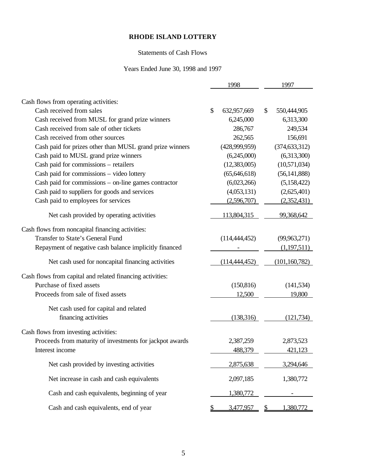### Statements of Cash Flows

### Years Ended June 30, 1998 and 1997

|                                                                                      | 1998              | 1997              |
|--------------------------------------------------------------------------------------|-------------------|-------------------|
| Cash flows from operating activities:                                                |                   |                   |
| Cash received from sales                                                             | \$<br>632,957,669 | \$<br>550,444,905 |
| Cash received from MUSL for grand prize winners                                      | 6,245,000         | 6,313,300         |
| Cash received from sale of other tickets                                             | 286,767           | 249,534           |
| Cash received from other sources                                                     | 262,565           | 156,691           |
| Cash paid for prizes other than MUSL grand prize winners                             | (428,999,959)     | (374, 633, 312)   |
| Cash paid to MUSL grand prize winners                                                | (6,245,000)       | (6,313,300)       |
| Cash paid for commissions - retailers                                                | (12, 383, 005)    | (10,571,034)      |
| Cash paid for commissions - video lottery                                            | (65, 646, 618)    | (56, 141, 888)    |
| Cash paid for commissions – on-line games contractor                                 | (6,023,266)       | (5,158,422)       |
| Cash paid to suppliers for goods and services                                        | (4,053,131)       | (2,625,401)       |
| Cash paid to employees for services                                                  | (2,596,707)       | (2,352,431)       |
| Net cash provided by operating activities                                            | 113,804,315       | 99,368,642        |
|                                                                                      |                   |                   |
| Cash flows from noncapital financing activities:<br>Transfer to State's General Fund | (114, 444, 452)   | (99, 963, 271)    |
| Repayment of negative cash balance implicitly financed                               |                   | (1,197,511)       |
|                                                                                      |                   |                   |
| Net cash used for noncapital financing activities                                    | (114, 444, 452)   | (101, 160, 782)   |
| Cash flows from capital and related financing activities:                            |                   |                   |
| Purchase of fixed assets                                                             | (150, 816)        | (141, 534)        |
| Proceeds from sale of fixed assets                                                   | 12,500            | 19,800            |
|                                                                                      |                   |                   |
| Net cash used for capital and related<br>financing activities                        | (138,316)         | (121, 734)        |
|                                                                                      |                   |                   |
| Cash flows from investing activities:                                                |                   |                   |
| Proceeds from maturity of investments for jackpot awards                             | 2,387,259         | 2,873,523         |
| Interest income                                                                      | 488,379           | 421.123           |
| Net cash provided by investing activities                                            | 2,875,638         | 3,294,646         |
| Net increase in cash and cash equivalents                                            | 2,097,185         | 1,380,772         |
| Cash and cash equivalents, beginning of year                                         | 1,380,772         |                   |
| Cash and cash equivalents, end of year                                               | \$<br>3,477,957   | \$<br>1,380,772   |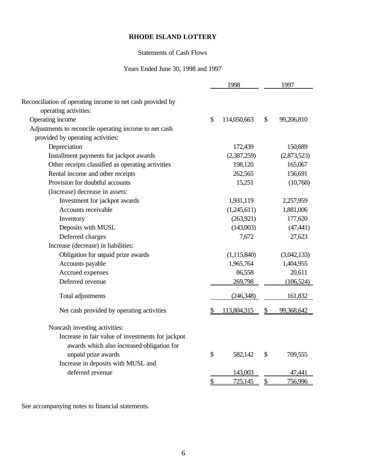## Statements of Cash Flows

### Years Ended June 30, 1998 and 1997

|               | 1998          |              | 1997        |
|---------------|---------------|--------------|-------------|
|               |               |              |             |
|               |               |              |             |
| $\mathcal{S}$ | 114,050,663   | \$           | 99,206,810  |
|               |               |              |             |
|               |               |              |             |
|               | 172,439       |              | 150,689     |
|               | (2,387,259)   |              | (2,873,523) |
|               | 198,120       |              | 165,067     |
|               | 262,565       |              | 156,691     |
|               | 15,251        |              | (10,768)    |
|               |               |              |             |
|               | 1,931,119     |              | 2,257,959   |
|               | (1,245,611)   |              | 1,881,006   |
|               | (263, 921)    |              | 177,620     |
|               | (143,003)     |              | (47, 441)   |
|               | 7,672         |              | 27,623      |
|               |               |              |             |
|               | (1, 115, 840) |              | (3,042,133) |
|               | 1,965,764     |              | 1,404,955   |
|               | 86,558        |              | 20,611      |
|               | 269,798       |              | (106, 524)  |
|               | (246,348)     |              | 161,832     |
| \$            | 113,804,315   | $\mathbb{S}$ | 99,368,642  |
|               |               |              |             |
|               |               |              |             |
|               |               |              |             |
| \$            | 582,142       | \$           | 709,555     |
|               |               |              |             |
|               | 143,003       |              | 47,441      |
| \$            | 725,145       | \$           | 756,996     |
|               |               |              |             |

See accompanying notes to financial statements.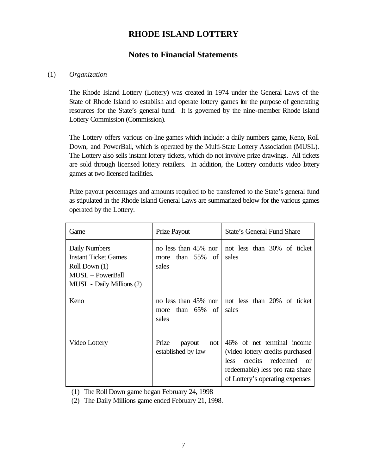# **Notes to Financial Statements**

### (1) *Organization*

The Rhode Island Lottery (Lottery) was created in 1974 under the General Laws of the State of Rhode Island to establish and operate lottery games for the purpose of generating resources for the State's general fund. It is governed by the nine-member Rhode Island Lottery Commission (Commission).

The Lottery offers various on-line games which include: a daily numbers game, Keno, Roll Down, and PowerBall, which is operated by the Multi-State Lottery Association (MUSL). The Lottery also sells instant lottery tickets, which do not involve prize drawings. All tickets are sold through licensed lottery retailers. In addition, the Lottery conducts video lottery games at two licensed facilities.

Prize payout percentages and amounts required to be transferred to the State's general fund as stipulated in the Rhode Island General Laws are summarized below for the various games operated by the Lottery.

| Game                                                                                                                  | <b>Prize Payout</b>                                  | State's General Fund Share                                                                                                                                                   |
|-----------------------------------------------------------------------------------------------------------------------|------------------------------------------------------|------------------------------------------------------------------------------------------------------------------------------------------------------------------------------|
| Daily Numbers<br><b>Instant Ticket Games</b><br>Roll Down (1)<br><b>MUSL</b> - PowerBall<br>MUSL - Daily Millions (2) | no less than 45% nor<br>than 55% of<br>more<br>sales | not less than 30% of ticket<br>sales                                                                                                                                         |
| Keno                                                                                                                  | no less than 45% nor<br>than 65% of<br>more<br>sales | not less than 20% of ticket<br>sales                                                                                                                                         |
| Video Lottery                                                                                                         | Prize<br>payout<br>not<br>established by law         | 46% of net terminal income<br>(video lottery credits purchased<br>credits redeemed<br>less<br>$\alpha$<br>redeemable) less pro rata share<br>of Lottery's operating expenses |

(1) The Roll Down game began February 24, 1998

(2) The Daily Millions game ended February 21, 1998.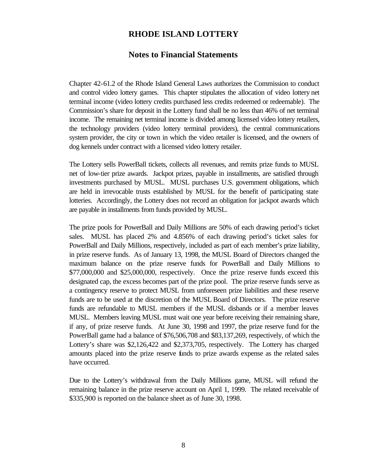### **Notes to Financial Statements**

Chapter 42-61.2 of the Rhode Island General Laws authorizes the Commission to conduct and control video lottery games. This chapter stipulates the allocation of video lottery net terminal income (video lottery credits purchased less credits redeemed or redeemable). The Commission's share for deposit in the Lottery fund shall be no less than 46% of net terminal income. The remaining net terminal income is divided among licensed video lottery retailers, the technology providers (video lottery terminal providers), the central communications system provider, the city or town in which the video retailer is licensed, and the owners of dog kennels under contract with a licensed video lottery retailer.

The Lottery sells PowerBall tickets, collects all revenues, and remits prize funds to MUSL net of low-tier prize awards. Jackpot prizes, payable in installments, are satisfied through investments purchased by MUSL. MUSL purchases U.S. government obligations, which are held in irrevocable trusts established by MUSL for the benefit of participating state lotteries. Accordingly, the Lottery does not record an obligation for jackpot awards which are payable in installments from funds provided by MUSL.

The prize pools for PowerBall and Daily Millions are 50% of each drawing period's ticket sales. MUSL has placed 2% and 4.856% of each drawing period's ticket sales for PowerBall and Daily Millions, respectively, included as part of each member's prize liability, in prize reserve funds. As of January 13, 1998, the MUSL Board of Directors changed the maximum balance on the prize reserve funds for PowerBall and Daily Millions to \$77,000,000 and \$25,000,000, respectively. Once the prize reserve funds exceed this designated cap, the excess becomes part of the prize pool. The prize reserve funds serve as a contingency reserve to protect MUSL from unforeseen prize liabilities and these reserve funds are to be used at the discretion of the MUSL Board of Directors. The prize reserve funds are refundable to MUSL members if the MUSL disbands or if a member leaves MUSL. Members leaving MUSL must wait one year before receiving their remaining share, if any, of prize reserve funds. At June 30, 1998 and 1997, the prize reserve fund for the PowerBall game had a balance of \$76,506,708 and \$83,137,269, respectively, of which the Lottery's share was \$2,126,422 and \$2,373,705, respectively. The Lottery has charged amounts placed into the prize reserve funds to prize awards expense as the related sales have occurred.

Due to the Lottery's withdrawal from the Daily Millions game, MUSL will refund the remaining balance in the prize reserve account on April 1, 1999. The related receivable of \$335,900 is reported on the balance sheet as of June 30, 1998.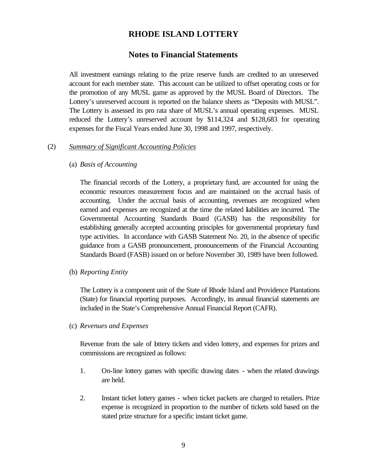### **Notes to Financial Statements**

All investment earnings relating to the prize reserve funds are credited to an unreserved account for each member state. This account can be utilized to offset operating costs or for the promotion of any MUSL game as approved by the MUSL Board of Directors. The Lottery's unreserved account is reported on the balance sheets as "Deposits with MUSL". The Lottery is assessed its pro rata share of MUSL's annual operating expenses. MUSL reduced the Lottery's unreserved account by \$114,324 and \$128,683 for operating expenses for the Fiscal Years ended June 30, 1998 and 1997, respectively.

#### (2) *Summary of Significant Accounting Policies*

(a) *Basis of Accounting*

The financial records of the Lottery, a proprietary fund, are accounted for using the economic resources measurement focus and are maintained on the accrual basis of accounting. Under the accrual basis of accounting, revenues are recognized when earned and expenses are recognized at the time the related liabilities are incurred. The Governmental Accounting Standards Board (GASB) has the responsibility for establishing generally accepted accounting principles for governmental proprietary fund type activities. In accordance with GASB Statement No. 20, in the absence of specific guidance from a GASB pronouncement, pronouncements of the Financial Accounting Standards Board (FASB) issued on or before November 30, 1989 have been followed.

(b) *Reporting Entity*

The Lottery is a component unit of the State of Rhode Island and Providence Plantations (State) for financial reporting purposes. Accordingly, its annual financial statements are included in the State's Comprehensive Annual Financial Report (CAFR).

(c) *Revenues and Expenses*

Revenue from the sale of bttery tickets and video lottery, and expenses for prizes and commissions are recognized as follows:

- 1. On-line lottery games with specific drawing dates when the related drawings are held.
- 2. Instant ticket lottery games when ticket packets are charged to retailers. Prize expense is recognized in proportion to the number of tickets sold based on the stated prize structure for a specific instant ticket game.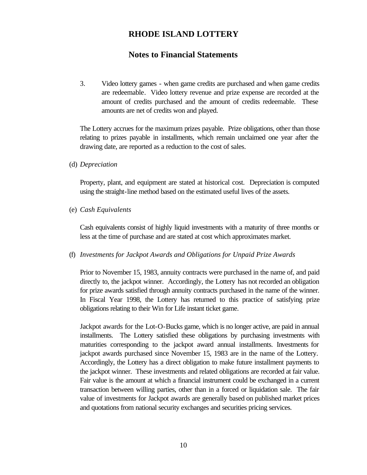## **Notes to Financial Statements**

3. Video lottery games - when game credits are purchased and when game credits are redeemable. Video lottery revenue and prize expense are recorded at the amount of credits purchased and the amount of credits redeemable. These amounts are net of credits won and played.

The Lottery accrues for the maximum prizes payable. Prize obligations, other than those relating to prizes payable in installments, which remain unclaimed one year after the drawing date, are reported as a reduction to the cost of sales.

(d) *Depreciation*

Property, plant, and equipment are stated at historical cost. Depreciation is computed using the straight-line method based on the estimated useful lives of the assets.

(e) *Cash Equivalents*

Cash equivalents consist of highly liquid investments with a maturity of three months or less at the time of purchase and are stated at cost which approximates market.

### (f) *Investments for Jackpot Awards and Obligations for Unpaid Prize Awards*

Prior to November 15, 1983, annuity contracts were purchased in the name of, and paid directly to, the jackpot winner. Accordingly, the Lottery has not recorded an obligation for prize awards satisfied through annuity contracts purchased in the name of the winner. In Fiscal Year 1998, the Lottery has returned to this practice of satisfying prize obligations relating to their Win for Life instant ticket game.

Jackpot awards for the Lot-O-Bucks game, which is no longer active, are paid in annual installments. The Lottery satisfied these obligations by purchasing investments with maturities corresponding to the jackpot award annual installments. Investments for jackpot awards purchased since November 15, 1983 are in the name of the Lottery. Accordingly, the Lottery has a direct obligation to make future installment payments to the jackpot winner. These investments and related obligations are recorded at fair value. Fair value is the amount at which a financial instrument could be exchanged in a current transaction between willing parties, other than in a forced or liquidation sale. The fair value of investments for Jackpot awards are generally based on published market prices and quotations from national security exchanges and securities pricing services.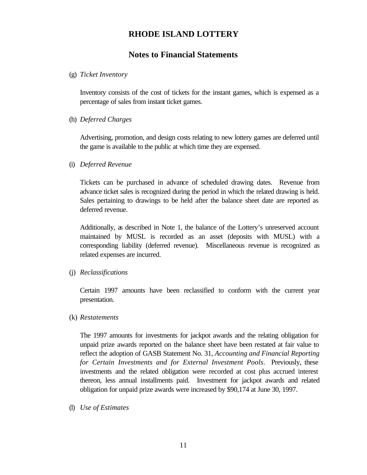## **Notes to Financial Statements**

#### (g) *Ticket Inventory*

Inventory consists of the cost of tickets for the instant games, which is expensed as a percentage of sales from instant ticket games.

#### (h) *Deferred Charges*

Advertising, promotion, and design costs relating to new lottery games are deferred until the game is available to the public at which time they are expensed.

#### (i) *Deferred Revenue*

Tickets can be purchased in advance of scheduled drawing dates. Revenue from advance ticket sales is recognized during the period in which the related drawing is held. Sales pertaining to drawings to be held after the balance sheet date are reported as deferred revenue.

Additionally, as described in Note 1, the balance of the Lottery's unreserved account maintained by MUSL is recorded as an asset (deposits with MUSL) with a corresponding liability (deferred revenue). Miscellaneous revenue is recognized as related expenses are incurred.

### (j) *Reclassifications*

Certain 1997 amounts have been reclassified to conform with the current year presentation.

#### (k) *Restatements*

The 1997 amounts for investments for jackpot awards and the relating obligation for unpaid prize awards reported on the balance sheet have been restated at fair value to reflect the adoption of GASB Statement No. 31, *Accounting and Financial Reporting for Certain Investments and for External Investment Pools*. Previously, these investments and the related obligation were recorded at cost plus accrued interest thereon, less annual installments paid. Investment for jackpot awards and related obligation for unpaid prize awards were increased by \$90,174 at June 30, 1997.

(l) *Use of Estimates*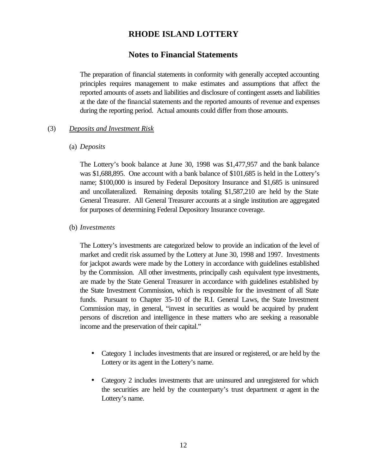## **Notes to Financial Statements**

The preparation of financial statements in conformity with generally accepted accounting principles requires management to make estimates and assumptions that affect the reported amounts of assets and liabilities and disclosure of contingent assets and liabilities at the date of the financial statements and the reported amounts of revenue and expenses during the reporting period. Actual amounts could differ from those amounts.

### (3) *Deposits and Investment Risk*

#### (a) *Deposits*

The Lottery's book balance at June 30, 1998 was \$1,477,957 and the bank balance was \$1,688,895. One account with a bank balance of \$101,685 is held in the Lottery's name; \$100,000 is insured by Federal Depository Insurance and \$1,685 is uninsured and uncollateralized. Remaining deposits totaling \$1,587,210 are held by the State General Treasurer. All General Treasurer accounts at a single institution are aggregated for purposes of determining Federal Depository Insurance coverage.

#### (b) *Investments*

The Lottery's investments are categorized below to provide an indication of the level of market and credit risk assumed by the Lottery at June 30, 1998 and 1997. Investments for jackpot awards were made by the Lottery in accordance with guidelines established by the Commission. All other investments, principally cash equivalent type investments, are made by the State General Treasurer in accordance with guidelines established by the State Investment Commission, which is responsible for the investment of all State funds. Pursuant to Chapter 35-10 of the R.I. General Laws, the State Investment Commission may, in general, "invest in securities as would be acquired by prudent persons of discretion and intelligence in these matters who are seeking a reasonable income and the preservation of their capital."

- Category 1 includes investments that are insured or registered, or are held by the Lottery or its agent in the Lottery's name.
- Category 2 includes investments that are uninsured and unregistered for which the securities are held by the counterparty's trust department  $\alpha$  agent in the Lottery's name.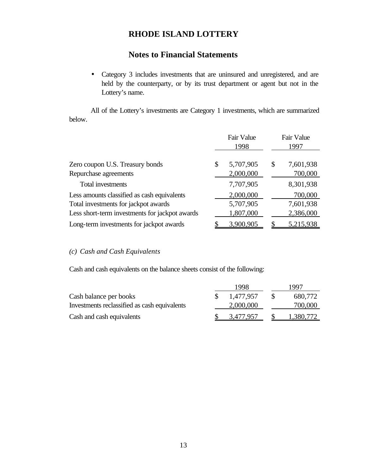# **Notes to Financial Statements**

• Category 3 includes investments that are uninsured and unregistered, and are held by the counterparty, or by its trust department or agent but not in the Lottery's name.

All of the Lottery's investments are Category 1 investments, which are summarized below.

|                                                | Fair Value<br>1998 | Fair Value<br>1997 |
|------------------------------------------------|--------------------|--------------------|
| Zero coupon U.S. Treasury bonds                | \$<br>5,707,905    | \$<br>7,601,938    |
| Repurchase agreements                          | 2,000,000          | 700,000            |
| Total investments                              | 7,707,905          | 8,301,938          |
| Less amounts classified as cash equivalents    | 2,000,000          | 700,000            |
| Total investments for jackpot awards           | 5,707,905          | 7,601,938          |
| Less short-term investments for jackpot awards | 1,807,000          | 2,386,000          |
| Long-term investments for jackpot awards       | 3,900,905          | 5,215,938          |

*(c) Cash and Cash Equivalents*

Cash and cash equivalents on the balance sheets consist of the following:

|                                              | 1998      | 1997      |
|----------------------------------------------|-----------|-----------|
| Cash balance per books                       | 1.477.957 | 680,772   |
| Investments reclassified as cash equivalents | 2,000,000 | 700,000   |
| Cash and cash equivalents                    | 3,477,957 | 1.380.772 |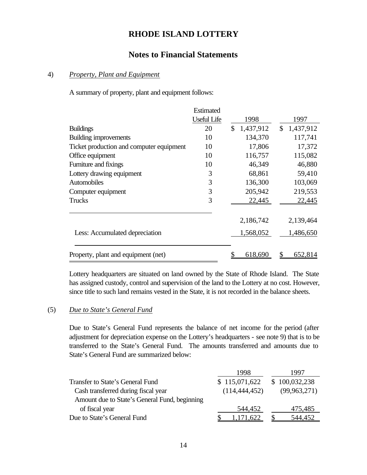## **Notes to Financial Statements**

#### 4) *Property, Plant and Equipment*

A summary of property, plant and equipment follows:

|                                          | Estimated          |                           |             |
|------------------------------------------|--------------------|---------------------------|-------------|
|                                          | <b>Useful Life</b> | 1998                      | 1997        |
| <b>Buildings</b>                         | 20                 | 1,437,912<br>$\mathbb{S}$ | \$1,437,912 |
| Building improvements                    | 10                 | 134,370                   | 117,741     |
| Ticket production and computer equipment | 10                 | 17,806                    | 17,372      |
| Office equipment                         | 10                 | 116,757                   | 115,082     |
| Furniture and fixings                    | 10                 | 46,349                    | 46,880      |
| Lottery drawing equipment                | 3                  | 68,861                    | 59,410      |
| Automobiles                              | 3                  | 136,300                   | 103,069     |
| Computer equipment                       | 3                  | 205,942                   | 219,553     |
| Trucks                                   | 3                  | 22,445                    | 22,445      |
|                                          |                    | 2,186,742                 | 2,139,464   |
| Less: Accumulated depreciation           |                    | 1,568,052                 | 1,486,650   |
| Property, plant and equipment (net)      |                    | <u>618,690</u>            | 652,814     |

Lottery headquarters are situated on land owned by the State of Rhode Island. The State has assigned custody, control and supervision of the land to the Lottery at no cost. However, since title to such land remains vested in the State, it is not recorded in the balance sheets.

## (5) *Due to State's General Fund*

Due to State's General Fund represents the balance of net income for the period (after adjustment for depreciation expense on the Lottery's headquarters - see note 9) that is to be transferred to the State's General Fund. The amounts transferred and amounts due to State's General Fund are summarized below:

| 1998            | 1997           |
|-----------------|----------------|
| \$115,071,622   | \$100,032,238  |
| (114, 444, 452) | (99, 963, 271) |
|                 |                |
| 544,452         | 475,485        |
| 1.171.622       | 544,452        |
|                 |                |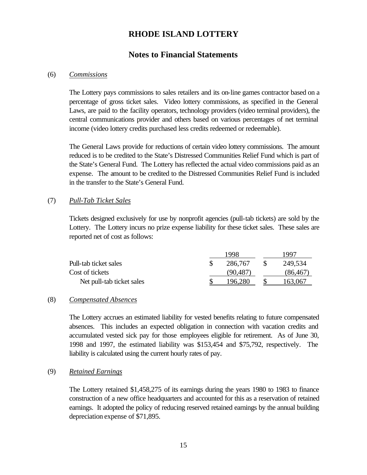## **Notes to Financial Statements**

#### (6) *Commissions*

The Lottery pays commissions to sales retailers and its on-line games contractor based on a percentage of gross ticket sales. Video lottery commissions, as specified in the General Laws, are paid to the facility operators, technology providers (video terminal providers), the central communications provider and others based on various percentages of net terminal income (video lottery credits purchased less credits redeemed or redeemable).

The General Laws provide for reductions of certain video lottery commissions. The amount reduced is to be credited to the State's Distressed Communities Relief Fund which is part of the State's General Fund. The Lottery has reflected the actual video commissions paid as an expense. The amount to be credited to the Distressed Communities Relief Fund is included in the transfer to the State's General Fund.

### (7) *Pull-Tab Ticket Sales*

Tickets designed exclusively for use by nonprofit agencies (pull-tab tickets) are sold by the Lottery. The Lottery incurs no prize expense liability for these ticket sales. These sales are reported net of cost as follows:

|                           | 1998    | 1997 |           |  |
|---------------------------|---------|------|-----------|--|
| Pull-tab ticket sales     | 286.767 |      | 249,534   |  |
| Cost of tickets           | 90.487  |      | (86, 467) |  |
| Net pull-tab ticket sales | 196.280 |      | 163.067   |  |

### (8) *Compensated Absences*

The Lottery accrues an estimated liability for vested benefits relating to future compensated absences. This includes an expected obligation in connection with vacation credits and accumulated vested sick pay for those employees eligible for retirement. As of June 30, 1998 and 1997, the estimated liability was \$153,454 and \$75,792, respectively. The liability is calculated using the current hourly rates of pay.

### (9) *Retained Earnings*

The Lottery retained \$1,458,275 of its earnings during the years 1980 to 1983 to finance construction of a new office headquarters and accounted for this as a reservation of retained earnings. It adopted the policy of reducing reserved retained earnings by the annual building depreciation expense of \$71,895.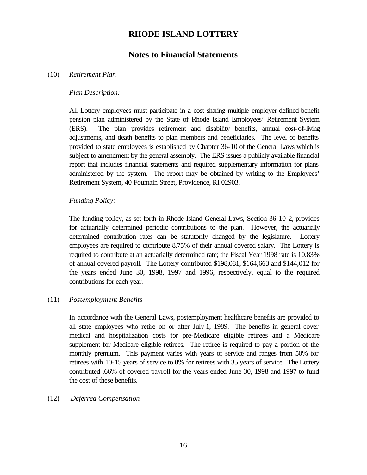## **Notes to Financial Statements**

### (10) *Retirement Plan*

### *Plan Description:*

All Lottery employees must participate in a cost-sharing multiple-employer defined benefit pension plan administered by the State of Rhode Island Employees' Retirement System (ERS). The plan provides retirement and disability benefits, annual cost-of-living adjustments, and death benefits to plan members and beneficiaries. The level of benefits provided to state employees is established by Chapter 36-10 of the General Laws which is subject to amendment by the general assembly. The ERS issues a publicly available financial report that includes financial statements and required supplementary information for plans administered by the system. The report may be obtained by writing to the Employees' Retirement System, 40 Fountain Street, Providence, RI 02903.

### *Funding Policy:*

The funding policy, as set forth in Rhode Island General Laws, Section 36-10-2, provides for actuarially determined periodic contributions to the plan. However, the actuarially determined contribution rates can be statutorily changed by the legislature. Lottery employees are required to contribute 8.75% of their annual covered salary. The Lottery is required to contribute at an actuarially determined rate; the Fiscal Year 1998 rate is 10.83% of annual covered payroll. The Lottery contributed \$198,081, \$164,663 and \$144,012 for the years ended June 30, 1998, 1997 and 1996, respectively, equal to the required contributions for each year.

### (11) *Postemployment Benefits*

In accordance with the General Laws, postemployment healthcare benefits are provided to all state employees who retire on or after July 1, 1989. The benefits in general cover medical and hospitalization costs for pre-Medicare eligible retirees and a Medicare supplement for Medicare eligible retirees. The retiree is required to pay a portion of the monthly premium. This payment varies with years of service and ranges from 50% for retirees with 10-15 years of service to 0% for retirees with 35 years of service. The Lottery contributed .66% of covered payroll for the years ended June 30, 1998 and 1997 to fund the cost of these benefits.

### (12) *Deferred Compensation*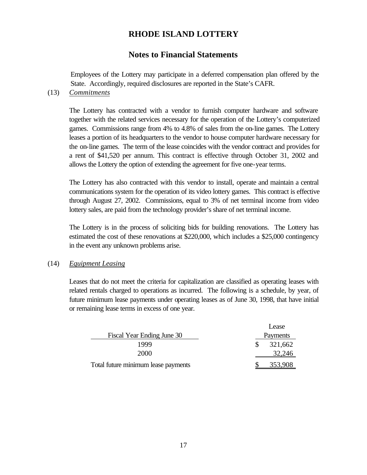# **Notes to Financial Statements**

Employees of the Lottery may participate in a deferred compensation plan offered by the State. Accordingly, required disclosures are reported in the State's CAFR.

(13) *Commitments*

The Lottery has contracted with a vendor to furnish computer hardware and software together with the related services necessary for the operation of the Lottery's computerized games. Commissions range from 4% to 4.8% of sales from the on-line games. The Lottery leases a portion of its headquarters to the vendor to house computer hardware necessary for the on-line games. The term of the lease coincides with the vendor contract and provides for a rent of \$41,520 per annum. This contract is effective through October 31, 2002 and allows the Lottery the option of extending the agreement for five one-year terms.

The Lottery has also contracted with this vendor to install, operate and maintain a central communications system for the operation of its video lottery games. This contract is effective through August 27, 2002. Commissions, equal to 3% of net terminal income from video lottery sales, are paid from the technology provider's share of net terminal income.

The Lottery is in the process of soliciting bids for building renovations. The Lottery has estimated the cost of these renovations at \$220,000, which includes a \$25,000 contingency in the event any unknown problems arise.

### (14) *Equipment Leasing*

Leases that do not meet the criteria for capitalization are classified as operating leases with related rentals charged to operations as incurred. The following is a schedule, by year, of future minimum lease payments under operating leases as of June 30, 1998, that have initial or remaining lease terms in excess of one year.

|                                     | Lease    |
|-------------------------------------|----------|
| Fiscal Year Ending June 30          | Payments |
| 1999                                | 321,662  |
| 2000                                | 32,246   |
| Total future minimum lease payments | 353,908  |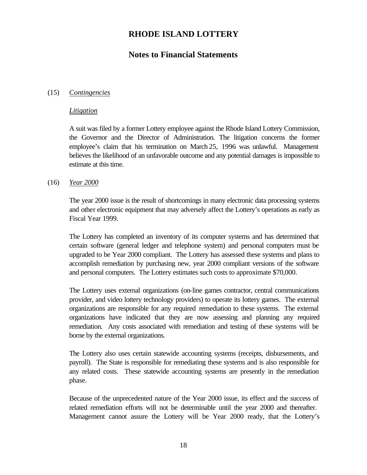# **Notes to Financial Statements**

### (15) *Contingencies*

#### *Litigation*

A suit was filed by a former Lottery employee against the Rhode Island Lottery Commission, the Governor and the Director of Administration. The litigation concerns the former employee's claim that his termination on March 25, 1996 was unlawful. Management believes the likelihood of an unfavorable outcome and any potential damages is impossible to estimate at this time.

### (16) *Year 2000*

The year 2000 issue is the result of shortcomings in many electronic data processing systems and other electronic equipment that may adversely affect the Lottery's operations as early as Fiscal Year 1999.

The Lottery has completed an inventory of its computer systems and has determined that certain software (general ledger and telephone system) and personal computers must be upgraded to be Year 2000 compliant. The Lottery has assessed these systems and plans to accomplish remediation by purchasing new, year 2000 compliant versions of the software and personal computers. The Lottery estimates such costs to approximate \$70,000.

The Lottery uses external organizations (on-line games contractor, central communications provider, and video lottery technology providers) to operate its lottery games. The external organizations are responsible for any required remediation to these systems. The external organizations have indicated that they are now assessing and planning any required remediation. Any costs associated with remediation and testing of these systems will be borne by the external organizations.

The Lottery also uses certain statewide accounting systems (receipts, disbursements, and payroll). The State is responsible for remediating these systems and is also responsible for any related costs. These statewide accounting systems are presently in the remediation phase.

Because of the unprecedented nature of the Year 2000 issue, its effect and the success of related remediation efforts will not be determinable until the year 2000 and thereafter. Management cannot assure the Lottery will be Year 2000 ready, that the Lottery's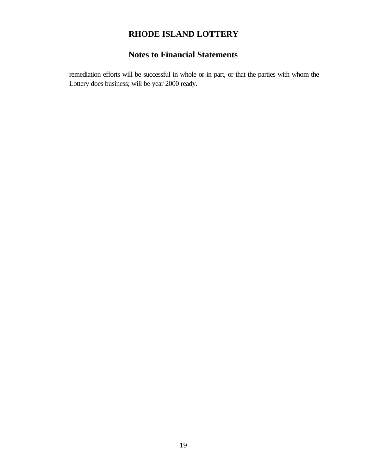# **Notes to Financial Statements**

remediation efforts will be successful in whole or in part, or that the parties with whom the Lottery does business; will be year 2000 ready.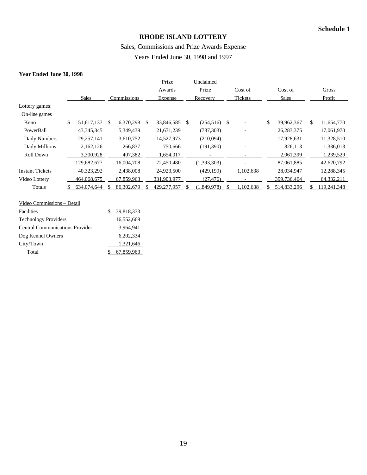### Sales, Commissions and Prize Awards Expense

Years Ended June 30, 1998 and 1997

#### **Year Ended June 30, 1998**

|                        |                  |             |            | Prize            |    | Unclaimed                |               |                          |    |              |    |             |
|------------------------|------------------|-------------|------------|------------------|----|--------------------------|---------------|--------------------------|----|--------------|----|-------------|
|                        |                  |             |            | Awards           |    | Prize                    |               | Cost of                  |    | Cost of      |    | Gross       |
|                        | <b>Sales</b>     | Commissions |            | Expense          |    | Recovery                 |               | Tickets                  |    | <b>Sales</b> |    | Profit      |
| Lottery games:         |                  |             |            |                  |    |                          |               |                          |    |              |    |             |
| On-line games          |                  |             |            |                  |    |                          |               |                          |    |              |    |             |
| Keno                   | \$<br>51,617,137 | \$.         | 6,370,298  | \$<br>33,846,585 | \$ | (254, 516)               | <sup>\$</sup> |                          | \$ | 39,962,367   | \$ | 11,654,770  |
| PowerBall              | 43, 345, 345     |             | 5,349,439  | 21,671,239       |    | (737, 303)               |               | $\overline{\phantom{a}}$ |    | 26, 283, 375 |    | 17,061,970  |
| Daily Numbers          | 29, 257, 141     |             | 3,610,752  | 14,527,973       |    | (210,094)                |               | $\overline{\phantom{a}}$ |    | 17,928,631   |    | 11,328,510  |
| Daily Millions         | 2,162,126        |             | 266,837    | 750,666          |    | (191,390)                |               | $\overline{\phantom{0}}$ |    | 826,113      |    | 1,336,013   |
| Roll Down              | 3,300,928        |             | 407,382    | 1,654,017        |    | $\overline{\phantom{a}}$ |               |                          |    | 2,061,399    |    | 1,239,529   |
|                        | 129,682,677      |             | 16,004,708 | 72,450,480       |    | (1,393,303)              |               | -                        |    | 87,061,885   |    | 42,620,792  |
| <b>Instant Tickets</b> | 40,323,292       |             | 2,438,008  | 24,923,500       |    | (429, 199)               |               | 1,102,638                |    | 28,034,947   |    | 12,288,345  |
| Video Lottery          | 464,068,675      |             | 67,859,963 | 331,903,977      |    | (27, 476)                |               |                          |    | 399,736,464  |    | 64,332,211  |
| Totals                 | 634.074.644      |             | 86,302,679 | 429,277,957      |    | (1.849.978)              |               | .102.638                 |    | 514,833,296  |    | 119.241.348 |
|                        |                  |             |            |                  |    |                          |               |                          |    |              |    |             |

| Video Commissions - Detail             |                  |
|----------------------------------------|------------------|
| <b>Facilities</b>                      | \$<br>39,818,373 |
| <b>Technology Providers</b>            | 16,552,669       |
| <b>Central Communications Provider</b> | 3,964,941        |
| Dog Kennel Owners                      | 6.202.334        |
| City/Town                              | 1,321,646        |
| Total                                  | 67.859.963       |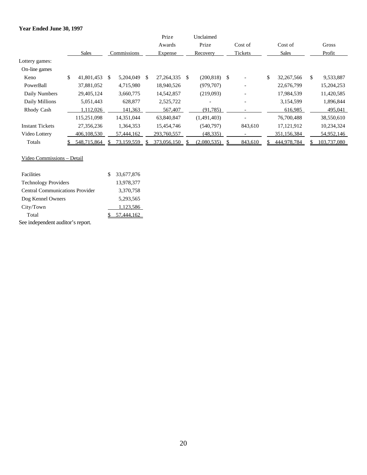#### **Year Ended June 30, 1997**

|                        |                  |             |            |         | Prize        |     | Unclaimed   |               |                          |    |             |    |             |
|------------------------|------------------|-------------|------------|---------|--------------|-----|-------------|---------------|--------------------------|----|-------------|----|-------------|
|                        |                  |             |            |         | Awards       |     | Prize       |               | Cost of                  |    | Cost of     |    | Gross       |
|                        | <b>Sales</b>     | Commissions |            | Expense | Recovery     |     | Tickets     |               | <b>Sales</b>             |    | Profit      |    |             |
| Lottery games:         |                  |             |            |         |              |     |             |               |                          |    |             |    |             |
| On-line games          |                  |             |            |         |              |     |             |               |                          |    |             |    |             |
| Keno                   | \$<br>41,801,453 | \$          | 5,204,049  | \$.     | 27, 264, 335 | \$. | (200, 818)  | <sup>\$</sup> |                          | \$ | 32,267,566  | \$ | 9,533,887   |
| PowerBall              | 37,881,052       |             | 4,715,980  |         | 18,940,526   |     | (979, 707)  |               | $\overline{\phantom{0}}$ |    | 22,676,799  |    | 15,204,253  |
| Daily Numbers          | 29,405,124       |             | 3,660,775  |         | 14,542,857   |     | (219,093)   |               |                          |    | 17,984,539  |    | 11,420,585  |
| Daily Millions         | 5,051,443        |             | 628,877    |         | 2,525,722    |     |             |               | $\overline{\phantom{0}}$ |    | 3,154,599   |    | 1,896,844   |
| Rhody Cash             | 1,112,026        |             | 141,363    |         | 567,407      |     | (91, 785)   |               |                          |    | 616,985     |    | 495,041     |
|                        | 115,251,098      |             | 14,351,044 |         | 63,840,847   |     | (1,491,403) |               |                          |    | 76,700,488  |    | 38,550,610  |
| <b>Instant Tickets</b> | 27,356,236       |             | 1,364,353  |         | 15,454,746   |     | (540,797)   |               | 843,610                  |    | 17,121,912  |    | 10,234,324  |
| Video Lottery          | 406,108,530      |             | 57,444,162 |         | 293,760,557  |     | (48, 335)   |               |                          |    | 351,156,384 |    | 54,952,146  |
| Totals                 | 548.715.864      |             | 73.159.559 |         | 373.056.150  |     | 2.080.535   |               | 843.610                  |    | 444.978.784 |    | 103.737.080 |

#### Video Commissions – Detail

| Facilities                             |  | 33,677,876 |  |  |  |  |  |
|----------------------------------------|--|------------|--|--|--|--|--|
| <b>Technology Providers</b>            |  | 13,978,377 |  |  |  |  |  |
| <b>Central Communications Provider</b> |  | 3,370,758  |  |  |  |  |  |
| Dog Kennel Owners                      |  | 5,293,565  |  |  |  |  |  |
| City/Town                              |  | 1,123,586  |  |  |  |  |  |
| Total                                  |  |            |  |  |  |  |  |
| See independent auditor's report.      |  |            |  |  |  |  |  |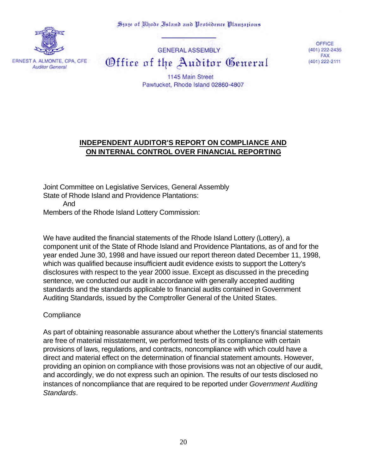State of Khode Island and Probidence Plantations



**GENERAL ASSEMBLY** Office of the Auditor General

OFFICE (401) 222-2435 **FAX** (401) 222-2111

1145 Main Street Pawtucket, Rhode Island 02860-4807

# **INDEPENDENT AUDITOR'S REPORT ON COMPLIANCE AND ON INTERNAL CONTROL OVER FINANCIAL REPORTING**

Joint Committee on Legislative Services, General Assembly State of Rhode Island and Providence Plantations: And Members of the Rhode Island Lottery Commission:

We have audited the financial statements of the Rhode Island Lottery (Lottery), a component unit of the State of Rhode Island and Providence Plantations, as of and for the year ended June 30, 1998 and have issued our report thereon dated December 11, 1998, which was qualified because insufficient audit evidence exists to support the Lottery's disclosures with respect to the year 2000 issue. Except as discussed in the preceding sentence, we conducted our audit in accordance with generally accepted auditing standards and the standards applicable to financial audits contained in Government Auditing Standards, issued by the Comptroller General of the United States.

### **Compliance**

As part of obtaining reasonable assurance about whether the Lottery's financial statements are free of material misstatement, we performed tests of its compliance with certain provisions of laws, regulations, and contracts, noncompliance with which could have a direct and material effect on the determination of financial statement amounts. However, providing an opinion on compliance with those provisions was not an objective of our audit, and accordingly, we do not express such an opinion. The results of our tests disclosed no instances of noncompliance that are required to be reported under *Government Auditing Standards*.